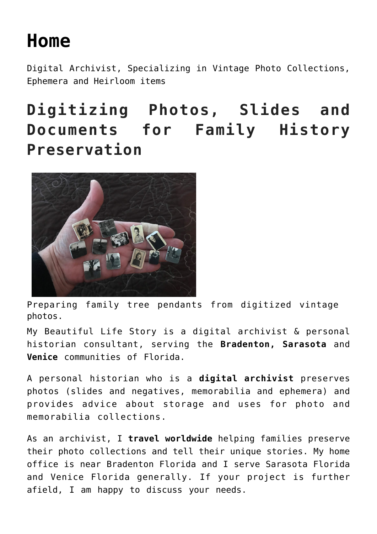## **[Home](https://mybeautifullifestory.com/)**

Digital Archivist, Specializing in Vintage Photo Collections, Ephemera and Heirloom items

## **Digitizing Photos, Slides and Documents for Family History Preservation**



Preparing family tree pendants from digitized vintage photos.

My Beautiful Life Story is a digital archivist & personal historian consultant, serving the **Bradenton, Sarasota** and **Venice** communities of Florida.

A personal historian who is a **digital archivist** preserves photos (slides and negatives, memorabilia and ephemera) and provides advice about storage and uses for photo and memorabilia collections.

As an archivist, I **travel worldwide** helping families preserve their photo collections and tell their unique stories. My home office is near Bradenton Florida and I serve Sarasota Florida and Venice Florida generally. If your project is further afield, I am happy to discuss your needs.